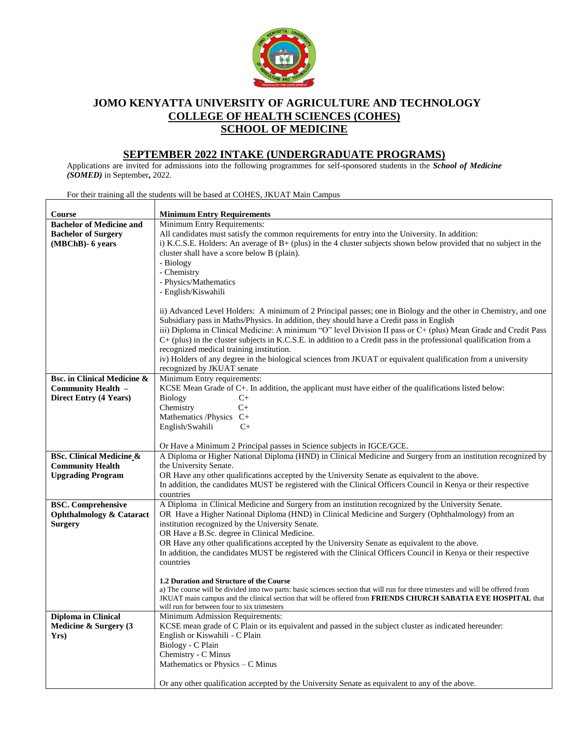

## **JOMO KENYATTA UNIVERSITY OF AGRICULTURE AND TECHNOLOGY COLLEGE OF HEALTH SCIENCES (COHES) SCHOOL OF MEDICINE**

## **SEPTEMBER 2022 INTAKE (UNDERGRADUATE PROGRAMS)**

Applications are invited for admissions into the following programmes for self-sponsored students in the *School of Medicine (SOMED)* in September**,** 2022.

**Course Minimum Entry Requirements Bachelor of Medicine and Bachelor of Surgery (MBChB)- 6 years** Minimum Entry Requirements: All candidates must satisfy the common requirements for entry into the University. In addition: i) K.C.S.E. Holders: An average of B+ (plus) in the 4 cluster subjects shown below provided that no subject in the cluster shall have a score below B (plain). - Biology - Chemistry - Physics/Mathematics - English/Kiswahili ii) Advanced Level Holders: A minimum of 2 Principal passes; one in Biology and the other in Chemistry, and one Subsidiary pass in Maths/Physics. In addition, they should have a Credit pass in English iii) Diploma in Clinical Medicine: A minimum "O" level Division II pass or C+ (plus) Mean Grade and Credit Pass C+ (plus) in the cluster subjects in K.C.S.E. in addition to a Credit pass in the professional qualification from a recognized medical training institution. iv) Holders of any degree in the biological sciences from JKUAT or equivalent qualification from a university recognized by JKUAT senate **Bsc. in Clinical Medicine & Community Health – Direct Entry (4 Years)** Minimum Entry requirements: KCSE Mean Grade of C+. In addition, the applicant must have either of the qualifications listed below: Biology C+ Chemistry C+ Mathematics /Physics C+ English/Swahili C+ Or Have a Minimum 2 Principal passes in Science subjects in IGCE/GCE. **BSc. Clinical Medicine & Community Health Upgrading Program** A Diploma or Higher National Diploma (HND) in Clinical Medicine and Surgery from an institution recognized by the University Senate. OR Have any other qualifications accepted by the University Senate as equivalent to the above. In addition, the candidates MUST be registered with the Clinical Officers Council in Kenya or their respective countries **BSC. Comprehensive Ophthalmology & Cataract Surgery** A Diploma in Clinical Medicine and Surgery from an institution recognized by the University Senate. OR Have a Higher National Diploma (HND) in Clinical Medicine and Surgery (Ophthalmology) from an institution recognized by the University Senate. OR Have a B.Sc. degree in Clinical Medicine. OR Have any other qualifications accepted by the University Senate as equivalent to the above. In addition, the candidates MUST be registered with the Clinical Officers Council in Kenya or their respective countries **1.2 Duration and Structure of the Course** a) The course will be divided into two parts: basic sciences section that will run for three trimesters and will be offered from JKUAT main campus and the clinical section that will be offered from **FRIENDS CHURCH SABATIA EYE HOSPITAL** that will run for between four to six trimesters **Diploma in Clinical Medicine & Surgery (3 Yrs)** Minimum Admission Requirements: KCSE mean grade of C Plain or its equivalent and passed in the subject cluster as indicated hereunder: English or Kiswahili - C Plain Biology - C Plain Chemistry - C Minus Mathematics or Physics – C Minus Or any other qualification accepted by the University Senate as equivalent to any of the above.

For their training all the students will be based at COHES, JKUAT Main Campus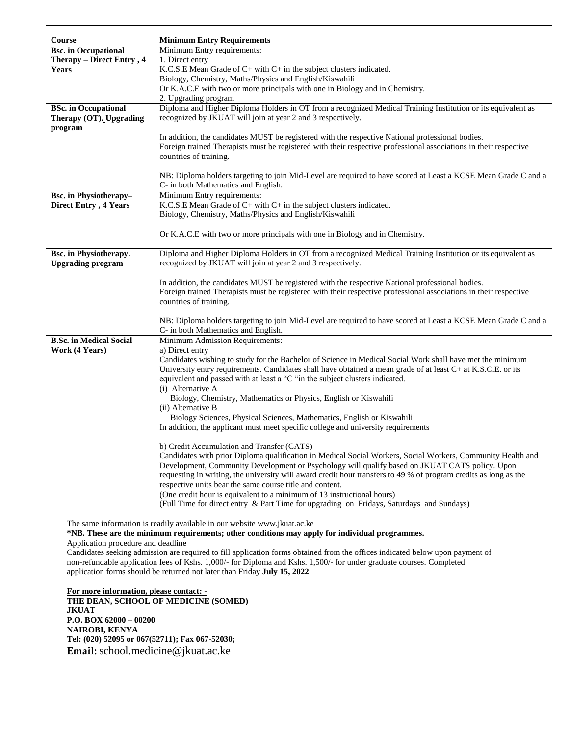| Course                         | <b>Minimum Entry Requirements</b>                                                                                                                           |
|--------------------------------|-------------------------------------------------------------------------------------------------------------------------------------------------------------|
| <b>Bsc.</b> in Occupational    | Minimum Entry requirements:                                                                                                                                 |
| Therapy - Direct Entry, 4      | 1. Direct entry                                                                                                                                             |
| <b>Years</b>                   | K.C.S.E Mean Grade of C+ with C+ in the subject clusters indicated.                                                                                         |
|                                | Biology, Chemistry, Maths/Physics and English/Kiswahili                                                                                                     |
|                                | Or K.A.C.E with two or more principals with one in Biology and in Chemistry.                                                                                |
|                                | 2. Upgrading program                                                                                                                                        |
| <b>BSc.</b> in Occupational    | Diploma and Higher Diploma Holders in OT from a recognized Medical Training Institution or its equivalent as                                                |
| Therapy (OT). Upgrading        | recognized by JKUAT will join at year 2 and 3 respectively.                                                                                                 |
| program                        |                                                                                                                                                             |
|                                | In addition, the candidates MUST be registered with the respective National professional bodies.                                                            |
|                                | Foreign trained Therapists must be registered with their respective professional associations in their respective                                           |
|                                | countries of training.                                                                                                                                      |
|                                |                                                                                                                                                             |
|                                | NB: Diploma holders targeting to join Mid-Level are required to have scored at Least a KCSE Mean Grade C and a                                              |
|                                | C- in both Mathematics and English.                                                                                                                         |
| <b>Bsc.</b> in Physiotherapy-  | Minimum Entry requirements:<br>K.C.S.E Mean Grade of C+ with C+ in the subject clusters indicated.                                                          |
| <b>Direct Entry, 4 Years</b>   | Biology, Chemistry, Maths/Physics and English/Kiswahili                                                                                                     |
|                                |                                                                                                                                                             |
|                                | Or K.A.C.E with two or more principals with one in Biology and in Chemistry.                                                                                |
|                                |                                                                                                                                                             |
| <b>Bsc.</b> in Physiotherapy.  | Diploma and Higher Diploma Holders in OT from a recognized Medical Training Institution or its equivalent as                                                |
| <b>Upgrading program</b>       | recognized by JKUAT will join at year 2 and 3 respectively.                                                                                                 |
|                                |                                                                                                                                                             |
|                                | In addition, the candidates MUST be registered with the respective National professional bodies.                                                            |
|                                | Foreign trained Therapists must be registered with their respective professional associations in their respective                                           |
|                                | countries of training.                                                                                                                                      |
|                                | NB: Diploma holders targeting to join Mid-Level are required to have scored at Least a KCSE Mean Grade C and a                                              |
|                                | C- in both Mathematics and English.                                                                                                                         |
| <b>B.Sc. in Medical Social</b> | Minimum Admission Requirements:                                                                                                                             |
| Work (4 Years)                 | a) Direct entry                                                                                                                                             |
|                                | Candidates wishing to study for the Bachelor of Science in Medical Social Work shall have met the minimum                                                   |
|                                | University entry requirements. Candidates shall have obtained a mean grade of at least C+ at K.S.C.E. or its                                                |
|                                | equivalent and passed with at least a "C "in the subject clusters indicated.                                                                                |
|                                | (i) Alternative A                                                                                                                                           |
|                                | Biology, Chemistry, Mathematics or Physics, English or Kiswahili                                                                                            |
|                                | (ii) Alternative B                                                                                                                                          |
|                                | Biology Sciences, Physical Sciences, Mathematics, English or Kiswahili<br>In addition, the applicant must meet specific college and university requirements |
|                                |                                                                                                                                                             |
|                                | b) Credit Accumulation and Transfer (CATS)                                                                                                                  |
|                                | Candidates with prior Diploma qualification in Medical Social Workers, Social Workers, Community Health and                                                 |
|                                | Development, Community Development or Psychology will qualify based on JKUAT CATS policy. Upon                                                              |
|                                | requesting in writing, the university will award credit hour transfers to 49 % of program credits as long as the                                            |
|                                | respective units bear the same course title and content.                                                                                                    |
|                                | (One credit hour is equivalent to a minimum of 13 instructional hours)                                                                                      |
|                                | (Full Time for direct entry & Part Time for upgrading on Fridays, Saturdays and Sundays)                                                                    |

The same information is readily available in our website www.jkuat.ac.ke

**\*NB. These are the minimum requirements; other conditions may apply for individual programmes.**  Application procedure and deadline

Candidates seeking admission are required to fill application forms obtained from the offices indicated below upon payment of non-refundable application fees of Kshs. 1,000/- for Diploma and Kshs. 1,500/- for under graduate courses. Completed application forms should be returned not later than Friday **July 15, 2022**

**For more information, please contact: -**

**THE DEAN, SCHOOL OF MEDICINE (SOMED) JKUAT P.O. BOX 62000 – 00200 NAIROBI, KENYA Tel: (020) 52095 or 067(52711); Fax 067-52030; Email:** [school.medicine@jkuat.ac.ke](mailto:school.medicine@jkuat.ac.ke)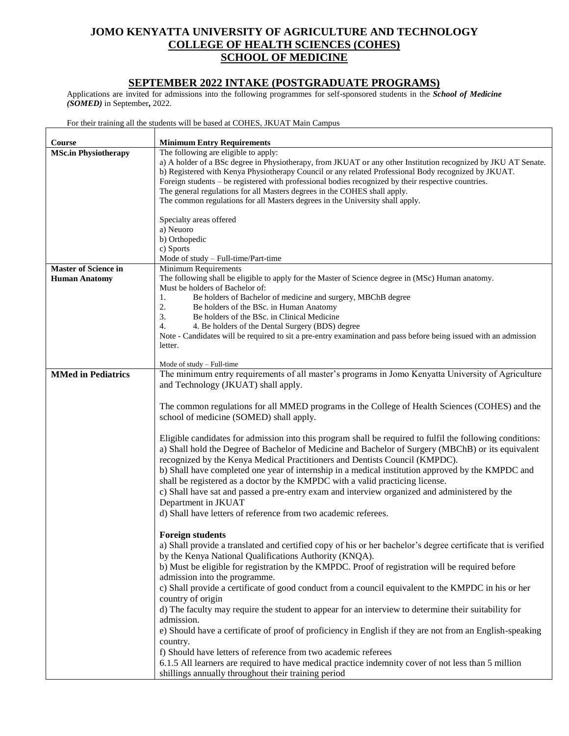## **JOMO KENYATTA UNIVERSITY OF AGRICULTURE AND TECHNOLOGY COLLEGE OF HEALTH SCIENCES (COHES) SCHOOL OF MEDICINE**

## **SEPTEMBER 2022 INTAKE (POSTGRADUATE PROGRAMS)**

Applications are invited for admissions into the following programmes for self-sponsored students in the *School of Medicine (SOMED)* in September**,** 2022.

For their training all the students will be based at COHES, JKUAT Main Campus

| Course                      | <b>Minimum Entry Requirements</b>                                                                                |
|-----------------------------|------------------------------------------------------------------------------------------------------------------|
| <b>MSc.in Physiotherapy</b> | The following are eligible to apply:                                                                             |
|                             | a) A holder of a BSc degree in Physiotherapy, from JKUAT or any other Institution recognized by JKU AT Senate.   |
|                             | b) Registered with Kenya Physiotherapy Council or any related Professional Body recognized by JKUAT.             |
|                             | Foreign students – be registered with professional bodies recognized by their respective countries.              |
|                             | The general regulations for all Masters degrees in the COHES shall apply.                                        |
|                             | The common regulations for all Masters degrees in the University shall apply.                                    |
|                             |                                                                                                                  |
|                             | Specialty areas offered                                                                                          |
|                             | a) Neuoro                                                                                                        |
|                             | b) Orthopedic                                                                                                    |
|                             | c) Sports                                                                                                        |
|                             | Mode of study - Full-time/Part-time                                                                              |
| <b>Master of Science in</b> | Minimum Requirements                                                                                             |
| <b>Human Anatomy</b>        | The following shall be eligible to apply for the Master of Science degree in (MSc) Human anatomy.                |
|                             | Must be holders of Bachelor of:                                                                                  |
|                             | Be holders of Bachelor of medicine and surgery, MBChB degree<br>1.                                               |
|                             | 2.<br>Be holders of the BSc. in Human Anatomy<br>3.<br>Be holders of the BSc. in Clinical Medicine               |
|                             | 4.<br>4. Be holders of the Dental Surgery (BDS) degree                                                           |
|                             | Note - Candidates will be required to sit a pre-entry examination and pass before being issued with an admission |
|                             | letter.                                                                                                          |
|                             |                                                                                                                  |
|                             | Mode of study – Full-time                                                                                        |
| <b>MMed in Pediatrics</b>   | The minimum entry requirements of all master's programs in Jomo Kenyatta University of Agriculture               |
|                             | and Technology (JKUAT) shall apply.                                                                              |
|                             |                                                                                                                  |
|                             | The common regulations for all MMED programs in the College of Health Sciences (COHES) and the                   |
|                             | school of medicine (SOMED) shall apply.                                                                          |
|                             |                                                                                                                  |
|                             | Eligible candidates for admission into this program shall be required to fulfil the following conditions:        |
|                             | a) Shall hold the Degree of Bachelor of Medicine and Bachelor of Surgery (MBChB) or its equivalent               |
|                             | recognized by the Kenya Medical Practitioners and Dentists Council (KMPDC).                                      |
|                             | b) Shall have completed one year of internship in a medical institution approved by the KMPDC and                |
|                             | shall be registered as a doctor by the KMPDC with a valid practicing license.                                    |
|                             | c) Shall have sat and passed a pre-entry exam and interview organized and administered by the                    |
|                             | Department in JKUAT                                                                                              |
|                             | d) Shall have letters of reference from two academic referees.                                                   |
|                             |                                                                                                                  |
|                             | <b>Foreign students</b>                                                                                          |
|                             | a) Shall provide a translated and certified copy of his or her bachelor's degree certificate that is verified    |
|                             | by the Kenya National Qualifications Authority (KNQA).                                                           |
|                             | b) Must be eligible for registration by the KMPDC. Proof of registration will be required before                 |
|                             | admission into the programme.                                                                                    |
|                             |                                                                                                                  |
|                             | c) Shall provide a certificate of good conduct from a council equivalent to the KMPDC in his or her              |
|                             | country of origin                                                                                                |
|                             | d) The faculty may require the student to appear for an interview to determine their suitability for             |
|                             | admission.                                                                                                       |
|                             | e) Should have a certificate of proof of proficiency in English if they are not from an English-speaking         |
|                             | country.                                                                                                         |
|                             | f) Should have letters of reference from two academic referees                                                   |
|                             | 6.1.5 All learners are required to have medical practice indemnity cover of not less than 5 million              |
|                             | shillings annually throughout their training period                                                              |